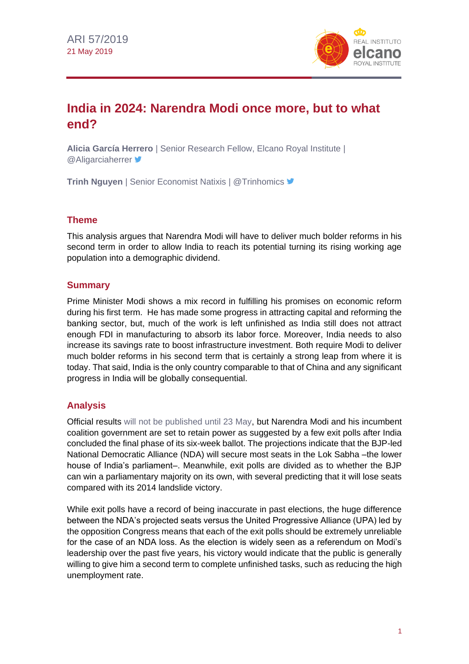

# **India in 2024: Narendra Modi once more, but to what end?**

**Alicia García Herrero** | Senior Research Fellow, Elcano Royal Institute | **@Aligarciaherrer** 

**Trinh Nguyen** | Senior Economist Natixis | @Trinhomics

## **Theme**

This analysis argues that Narendra Modi will have to deliver much bolder reforms in his second term in order to allow India to reach its potential turning its rising working age population into a demographic dividend.

#### **Summary**

Prime Minister Modi shows a mix record in fulfilling his promises on economic reform during his first term. He has made some progress in attracting capital and reforming the banking sector, but, much of the work is left unfinished as India still does not attract enough FDI in manufacturing to absorb its labor force. Moreover, India needs to also increase its savings rate to boost infrastructure investment. Both require Modi to deliver much bolder reforms in his second term that is certainly a strong leap from where it is today. That said, India is the only country comparable to that of China and any significant progress in India will be globally consequential.

## **Analysis**

Official results [will not be published until 23 May,](https://www.eci.gov.in/files/file/9396-announcement-of-schedule-for-general-elections-to-lok-sabha-and-legislative-assemblies-in-andhra-pradesh-arunachal-pradesh-odisha-sikkim-2019/) but Narendra Modi and his incumbent coalition government are set to retain power as suggested by a few exit polls after India concluded the final phase of its six-week ballot. The projections indicate that the BJP-led National Democratic Alliance (NDA) will secure most seats in the Lok Sabha –the lower house of India's parliament–. Meanwhile, exit polls are divided as to whether the BJP can win a parliamentary majority on its own, with several predicting that it will lose seats compared with its 2014 landslide victory.

While exit polls have a record of being inaccurate in past elections, the huge difference between the NDA's projected seats versus the United Progressive Alliance (UPA) led by the opposition Congress means that each of the exit polls should be extremely unreliable for the case of an NDA loss. As the election is widely seen as a referendum on Modi's leadership over the past five years, his victory would indicate that the public is generally willing to give him a second term to complete unfinished tasks, such as reducing the high unemployment rate.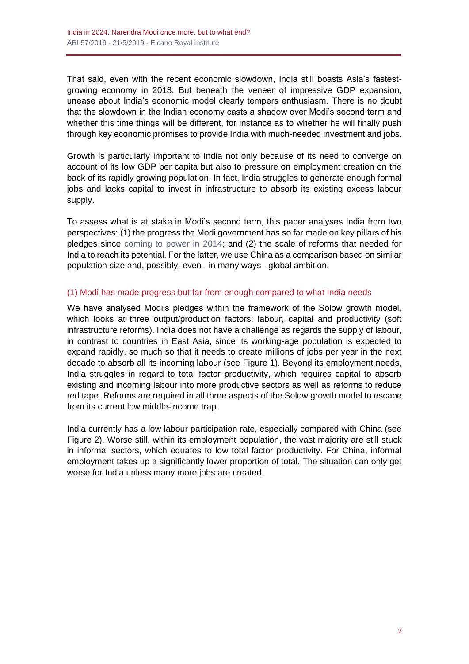That said, even with the recent economic slowdown, India still boasts Asia's fastestgrowing economy in 2018. But beneath the veneer of impressive GDP expansion, unease about India's economic model clearly tempers enthusiasm. There is no doubt that the slowdown in the Indian economy casts a shadow over Modi's second term and whether this time things will be different, for instance as to whether he will finally push through key economic promises to provide India with much-needed investment and jobs.

Growth is particularly important to India not only because of its need to converge on account of its low GDP per capita but also to pressure on employment creation on the back of its rapidly growing population. In fact, India struggles to generate enough formal jobs and lacks capital to invest in infrastructure to absorb its existing excess labour supply.

To assess what is at stake in Modi's second term, this paper analyses India from two perspectives: (1) the progress the Modi government has so far made on key pillars of his pledges since [coming to power in 2014;](http://www.realinstitutoelcano.org/wps/portal/rielcano_es/contenido?WCM_GLOBAL_CONTEXT=/elcano/elcano_es/zonas_es/ari28-2014-campos-victoria-electoral-modi-nuevo-ciclo-politico-india) and (2) the scale of reforms that needed for India to reach its potential. For the latter, we use China as a comparison based on similar population size and, possibly, even –in many ways– global ambition.

#### (1) Modi has made progress but far from enough compared to what India needs

We have analysed Modi's pledges within the framework of the Solow growth model, which looks at three output/production factors: labour, capital and productivity (soft infrastructure reforms). India does not have a challenge as regards the supply of labour, in contrast to countries in East Asia, since its working-age population is expected to expand rapidly, so much so that it needs to create millions of jobs per year in the next decade to absorb all its incoming labour (see Figure 1). Beyond its employment needs, India struggles in regard to total factor productivity, which requires capital to absorb existing and incoming labour into more productive sectors as well as reforms to reduce red tape. Reforms are required in all three aspects of the Solow growth model to escape from its current low middle-income trap.

India currently has a low labour participation rate, especially compared with China (see Figure 2). Worse still, within its employment population, the vast majority are still stuck in informal sectors, which equates to low total factor productivity. For China, informal employment takes up a significantly lower proportion of total. The situation can only get worse for India unless many more jobs are created.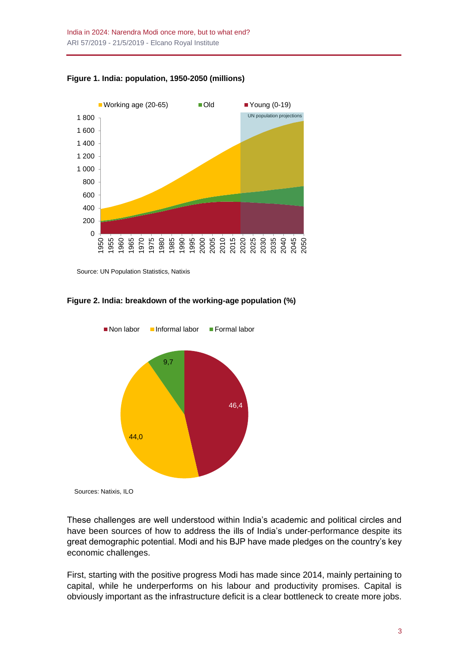



Source: UN Population Statistics, Natixis

**Figure 2. India: breakdown of the working-age population (%)**



Sources: Natixis, ILO

These challenges are well understood within India's academic and political circles and have been sources of how to address the ills of India's under-performance despite its great demographic potential. Modi and his BJP have made pledges on the country's key economic challenges.

First, starting with the positive progress Modi has made since 2014, mainly pertaining to capital, while he underperforms on his labour and productivity promises. Capital is obviously important as the infrastructure deficit is a clear bottleneck to create more jobs.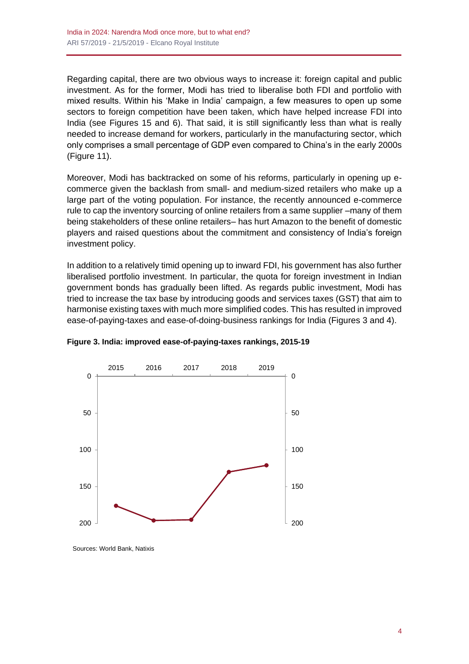Regarding capital, there are two obvious ways to increase it: foreign capital and public investment. As for the former, Modi has tried to liberalise both FDI and portfolio with mixed results. Within his 'Make in India' campaign, a few measures to open up some sectors to foreign competition have been taken, which have helped increase FDI into India (see Figures 15 and 6). That said, it is still significantly less than what is really needed to increase demand for workers, particularly in the manufacturing sector, which only comprises a small percentage of GDP even compared to China's in the early 2000s (Figure 11).

Moreover, Modi has backtracked on some of his reforms, particularly in opening up ecommerce given the backlash from small- and medium-sized retailers who make up a large part of the voting population. For instance, the recently announced e-commerce rule to cap the inventory sourcing of online retailers from a same supplier –many of them being stakeholders of these online retailers– has hurt Amazon to the benefit of domestic players and raised questions about the commitment and consistency of India's foreign investment policy.

In addition to a relatively timid opening up to inward FDI, his government has also further liberalised portfolio investment. In particular, the quota for foreign investment in Indian government bonds has gradually been lifted. As regards public investment, Modi has tried to increase the tax base by introducing goods and services taxes (GST) that aim to harmonise existing taxes with much more simplified codes. This has resulted in improved ease-of-paying-taxes and ease-of-doing-business rankings for India (Figures 3 and 4).





Sources: World Bank, Natixis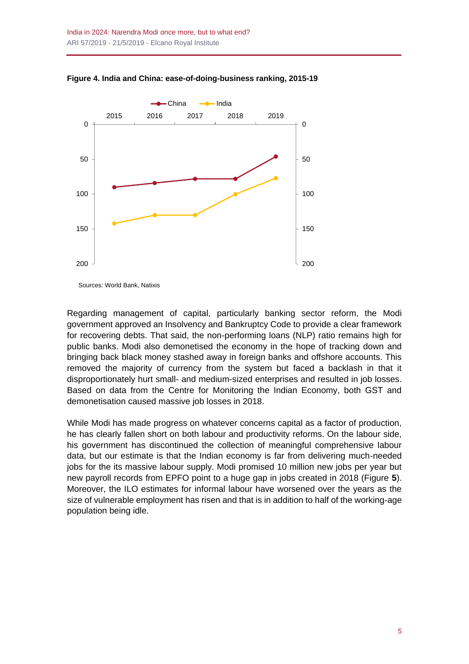

**Figure 4. India and China: ease-of-doing-business ranking, 2015-19**

Sources: World Bank, Natixis

Regarding management of capital, particularly banking sector reform, the Modi government approved an Insolvency and Bankruptcy Code to provide a clear framework for recovering debts. That said, the non-performing loans (NLP) ratio remains high for public banks. Modi also demonetised the economy in the hope of tracking down and bringing back black money stashed away in foreign banks and offshore accounts. This removed the majority of currency from the system but faced a backlash in that it disproportionately hurt small- and medium-sized enterprises and resulted in job losses. Based on data from the Centre for Monitoring the Indian Economy, both GST and demonetisation caused massive job losses in 2018.

While Modi has made progress on whatever concerns capital as a factor of production, he has clearly fallen short on both labour and productivity reforms. On the labour side, his government has discontinued the collection of meaningful comprehensive labour data, but our estimate is that the Indian economy is far from delivering much-needed jobs for the its massive labour supply. Modi promised 10 million new jobs per year but new payroll records from EPFO point to a huge gap in jobs created in 2018 (Figure **5**). Moreover, the ILO estimates for informal labour have worsened over the years as the size of vulnerable employment has risen and that is in addition to half of the working-age population being idle.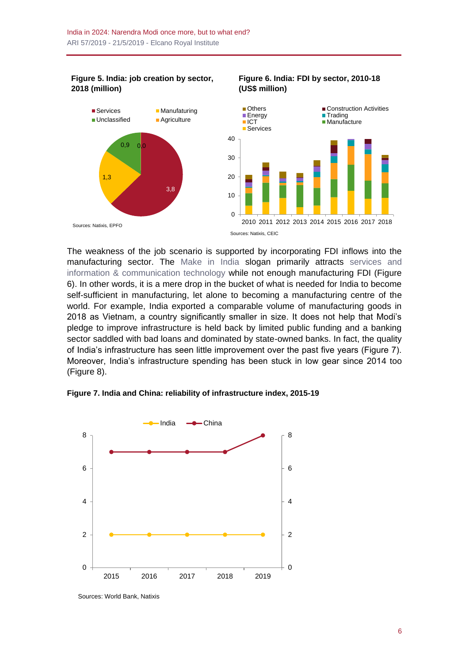**Figure 5. India: job creation by sector, 2018 (million)**



The weakness of the job scenario is supported by incorporating FDI inflows into the manufacturing sector. The [Make in India](https://makeinindia.com/) slogan primarily attracts [services and](https://blog.realinstitutoelcano.org/en/india-a-connected-power/)  [information & communication technology](https://blog.realinstitutoelcano.org/en/india-a-connected-power/) while not enough manufacturing FDI (Figure 6). In other words, it is a mere drop in the bucket of what is needed for India to become self-sufficient in manufacturing, let alone to becoming a manufacturing centre of the world. For example, India exported a comparable volume of manufacturing goods in 2018 as Vietnam, a country significantly smaller in size. It does not help that Modi's pledge to improve infrastructure is held back by limited public funding and a banking sector saddled with bad loans and dominated by state-owned banks. In fact, the quality of India's infrastructure has seen little improvement over the past five years (Figure 7). Moreover, India's infrastructure spending has been stuck in low gear since 2014 too (Figure 8).



**Figure 7. India and China: reliability of infrastructure index, 2015-19**

Sources: World Bank, Natixis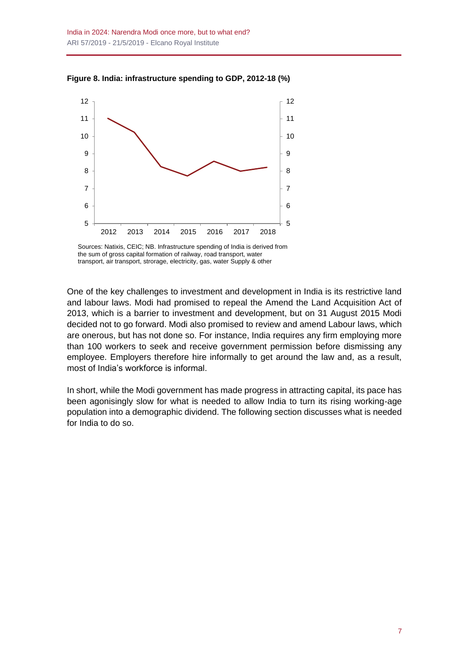

**Figure 8. India: infrastructure spending to GDP, 2012-18 (%)**

One of the key challenges to investment and development in India is its restrictive land and labour laws. Modi had promised to repeal the Amend the Land Acquisition Act of 2013, which is a barrier to investment and development, but on 31 August 2015 Modi decided not to go forward. Modi also promised to review and amend Labour laws, which are onerous, but has not done so. For instance, India requires any firm employing more than 100 workers to seek and receive government permission before dismissing any employee. Employers therefore hire informally to get around the law and, as a result, most of India's workforce is informal.

In short, while the Modi government has made progress in attracting capital, its pace has been agonisingly slow for what is needed to allow India to turn its rising working-age population into a demographic dividend. The following section discusses what is needed for India to do so.

Sources: Natixis, CEIC; NB. Infrastructure spending of India is derived from the sum of gross capital formation of railway, road transport, water transport, air transport, strorage, electricity, gas, water Supply & other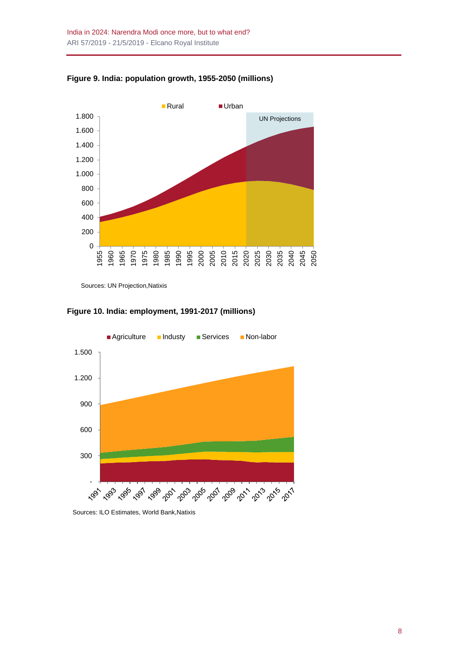



Sources: UN Projection,Natixis

**Figure 10. India: employment, 1991-2017 (millions)**



Sources: ILO Estimates, World Bank,Natixis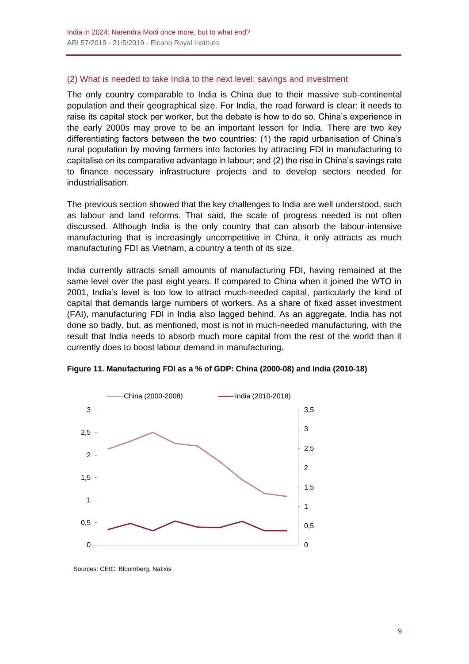#### (2) What is needed to take India to the next level: savings and investment

The only country comparable to India is China due to their massive sub-continental population and their geographical size. For India, the road forward is clear: it needs to raise its capital stock per worker, but the debate is how to do so. China's experience in the early 2000s may prove to be an important lesson for India. There are two key differentiating factors between the two countries: (1) the rapid urbanisation of China's rural population by moving farmers into factories by attracting FDI in manufacturing to capitalise on its comparative advantage in labour; and (2) the rise in China's savings rate to finance necessary infrastructure projects and to develop sectors needed for industrialisation.

The previous section showed that the key challenges to India are well understood, such as labour and land reforms. That said, the scale of progress needed is not often discussed. Although India is the only country that can absorb the labour-intensive manufacturing that is increasingly uncompetitive in China, it only attracts as much manufacturing FDI as Vietnam, a country a tenth of its size.

India currently attracts small amounts of manufacturing FDI, having remained at the same level over the past eight years. If compared to China when it joined the WTO in 2001, India's level is too low to attract much-needed capital, particularly the kind of capital that demands large numbers of workers. As a share of fixed asset investment (FAI), manufacturing FDI in India also lagged behind. As an aggregate, India has not done so badly, but, as mentioned, most is not in much-needed manufacturing, with the result that India needs to absorb much more capital from the rest of the world than it currently does to boost labour demand in manufacturing.



**Figure 11. Manufacturing FDI as a % of GDP: China (2000-08) and India (2010-18)**

Sources: CEIC, Bloomberg, Natixis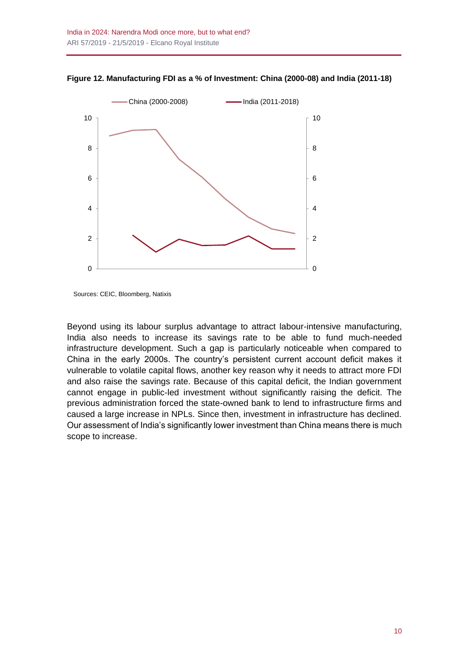

**Figure 12. Manufacturing FDI as a % of Investment: China (2000-08) and India (2011-18)**

Sources: CEIC, Bloomberg, Natixis

Beyond using its labour surplus advantage to attract labour-intensive manufacturing, India also needs to increase its savings rate to be able to fund much-needed infrastructure development. Such a gap is particularly noticeable when compared to China in the early 2000s. The country's persistent current account deficit makes it vulnerable to volatile capital flows, another key reason why it needs to attract more FDI and also raise the savings rate. Because of this capital deficit, the Indian government cannot engage in public-led investment without significantly raising the deficit. The previous administration forced the state-owned bank to lend to infrastructure firms and caused a large increase in NPLs. Since then, investment in infrastructure has declined. Our assessment of India's significantly lower investment than China means there is much scope to increase.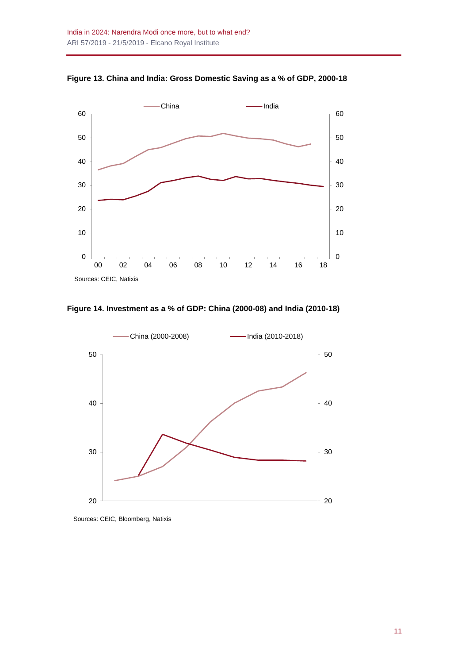

**Figure 13. China and India: Gross Domestic Saving as a % of GDP, 2000-18**





Sources: CEIC, Bloomberg, Natixis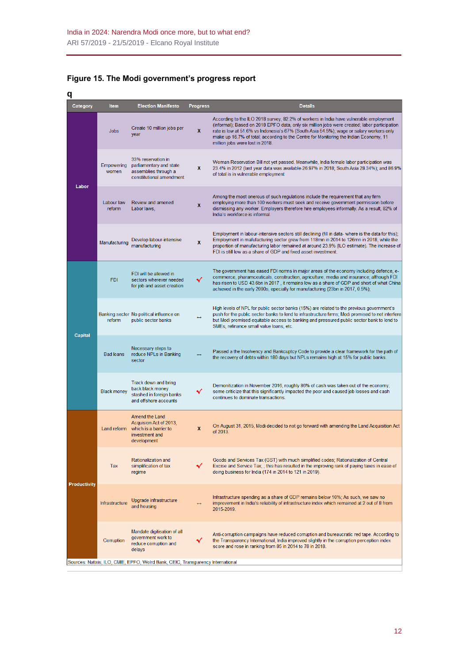| 전 사     |  |  |  |
|---------|--|--|--|
|         |  |  |  |
|         |  |  |  |
| ×<br>۰, |  |  |  |

| Category     | <b>Item</b>           | <b>Election Manifesto</b>                                                                                      | <b>Progress</b>   | <b>Details</b>                                                                                                                                                                                                                                                                                                                                                                                                |
|--------------|-----------------------|----------------------------------------------------------------------------------------------------------------|-------------------|---------------------------------------------------------------------------------------------------------------------------------------------------------------------------------------------------------------------------------------------------------------------------------------------------------------------------------------------------------------------------------------------------------------|
| Labor        | Jobs                  | Create 10 million jobs per<br>year                                                                             | x                 | According to the ILO 2018 survey, 82.2% of workers in India have vulnerable employment<br>(informal); Based on 2018 EPFO data, only six million jobs were created; labor participation<br>rate is low at 51.6% vs Indonesia's 67% (South Asia 54.5%); wage or salary workers only<br>make up 16.7% of total; according to the Centre for Monitoring the Indian Economy, 11<br>million jobs were lost in 2018. |
|              | Empowering<br>women   | 33% reservation in<br>parliamentary and state<br>assemblies through a<br>constitutional amendment              | X                 | Woman Reservation Bill not yet passed. Meanwhile, India female labor participation was<br>23.4% in 2012 (last year data was available-26.97% in 2018; South Asia 28.34%); and 86.9%<br>of total is in vulnerable employment                                                                                                                                                                                   |
|              | I abour law<br>reform | Review and amened<br>Labor laws,                                                                               | $\mathbf{x}$      | Among the most onerous of such regulations include the requirement that any firm<br>employing more than 100 workers must seek and receive government permission before<br>dismissing any worker. Employers therefore hire employees informally. As a result, 82% of<br>India's workforce is informal.                                                                                                         |
|              | Manufacturing         | Develop labour-intensive<br>manufacturing                                                                      | $\mathbf{x}$      | Employment in labour-intensive sectors still declining (fill in data- where is the data for this);<br>Employment in mafufacturing sector grew from 118mn in 2014 to 126mn in 2018, while the<br>proportion of manufacturing labor remained at around 23.9% (ILO estimate). The increase of<br>FDI is still low as a share of GDP and fixed asset investment.                                                  |
| Capital      | <b>FDI</b>            | FDI will be allowed in<br>sectors wherever needed<br>for job and asset creation                                | ✔                 | The government has eased FDI norms in major areas of the economy including defence, e-<br>commerce, pharamceuticals, construction, agriculture, media and insurance; although FDI<br>has risen to USD 43.6bn in 2017, it remains low as a share of GDP and short of what China<br>achieved in the early 2000s, epecially for manufacturing (23bn in 2017, 0.5%);                                              |
|              | reform                | Banking sector No political influence on<br>public sector banks                                                | $\leftrightarrow$ | High levels of NPL for public sector banks (15%) are related to the previous government's<br>push for the public sector banks to lend to infrastructure firms; Modi promised to not interfere<br>but Modi promised equitable access to banking and pressured public sector bank to lend to<br>SMEs, refinance small value loans, etc.                                                                         |
|              | <b>Bad loans</b>      | Necessary steps to<br>reduce NPLs in Banking<br>sector                                                         |                   | Passed a the Insolvency and Bankcuptcy Code to provide a clear framework for the path of<br>the recovery of debts within 180 days but NPLs remains high at 15% for public banks.                                                                                                                                                                                                                              |
|              | <b>Black money</b>    | Track down and bring<br>back black money<br>stashed in foreign banks<br>and offshore accounts                  | ✔                 | Demonitization in November 2016, roughly 86% of cash was taken out of the economy;<br>some criticize that this significantly impacted the poor and caused job losses and cash<br>continues to dominate transactions.                                                                                                                                                                                          |
| Productivity |                       | Amend the Land<br>Acquision Act of 2013,<br>Land reform which is a barrier to<br>investment and<br>development | x                 | On August 31, 2015, Modi decided to not go forward with amending the Land Acquisition Act<br>of 2013.                                                                                                                                                                                                                                                                                                         |
|              | Tax                   | Rationalization and<br>simplification of tax<br>regime                                                         | ✔                 | Goods and Services Tax (GST) with much simplified codes; Rationalization of Central<br>Excise and Service Tax; ; this has resulted in the improving rank of paying taxes in ease of<br>doing business for India (174 in 2014 to 121 in 2019).                                                                                                                                                                 |
|              | Infrastructure        | Upgrade infrastructure<br>and housing                                                                          |                   | Infrastructure spending as a share of GDP remains below 10%; As such, we saw no<br>improvement in India's reliability of infrastructure index which remained at 2 out of 8 from<br>2015-2019.                                                                                                                                                                                                                 |
|              | Corruption            | Mandate digitisation of all<br>government work to<br>reduce corruption and<br>delays                           |                   | Anti-corruption campaigns have reduced corruption and bureaucratic red tape. According to<br>the Transparency International, India improved slightly in the corruption perception index<br>score and rose in ranking from 85 in 2014 to 78 in 2018.                                                                                                                                                           |
|              |                       | Sources: Natixis, ILO, CMIE, EPFO, Wolrd Bank, CEIC, Transparency International                                |                   |                                                                                                                                                                                                                                                                                                                                                                                                               |